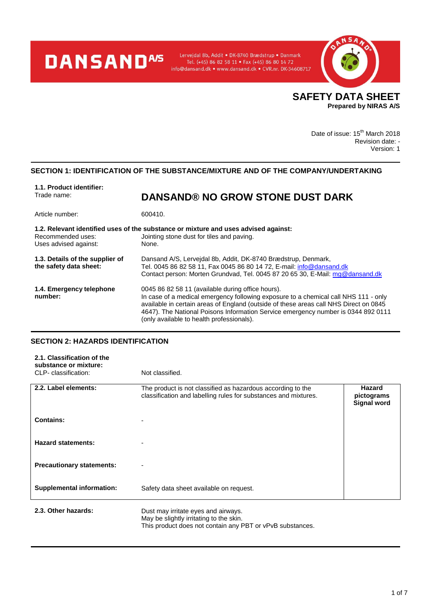# **DANSANDAS**

Lervejdal 8b, Addit . DK-8740 Brædstrup . Danmark Tel. (+45) 86 82 58 11 • Fax (+45) 86 80 14 72<br>Tel. (+45) 86 82 58 11 • Fax (+45) 86 80 14 72<br>info@dansand.dk • www.dansand.dk • CVR.nr. DK-34608717



Date of issue: 15<sup>th</sup> March 2018 Revision date: - Version: 1

## **SECTION 1: IDENTIFICATION OF THE SUBSTANCE/MIXTURE AND OF THE COMPANY/UNDERTAKING**

| 1.1. Product identifier:<br>Trade name:                   | <b>DANSAND® NO GROW STONE DUST DARK</b>                                                                                                                                                                                                                                                                                                                             |
|-----------------------------------------------------------|---------------------------------------------------------------------------------------------------------------------------------------------------------------------------------------------------------------------------------------------------------------------------------------------------------------------------------------------------------------------|
| Article number:                                           | 600410.                                                                                                                                                                                                                                                                                                                                                             |
| Recommended uses:<br>Uses advised against:                | 1.2. Relevant identified uses of the substance or mixture and uses advised against:<br>Jointing stone dust for tiles and paving.<br>None.                                                                                                                                                                                                                           |
| 1.3. Details of the supplier of<br>the safety data sheet: | Dansand A/S, Lerveidal 8b, Addit, DK-8740 Brædstrup, Denmark,<br>Tel. 0045 86 82 58 11, Fax 0045 86 80 14 72, E-mail: info@dansand.dk<br>Contact person: Morten Grundvad, Tel. 0045 87 20 65 30, E-Mail: mg@dansand.dk                                                                                                                                              |
| 1.4. Emergency telephone<br>number:                       | 0045 86 82 58 11 (available during office hours).<br>In case of a medical emergency following exposure to a chemical call NHS 111 - only<br>available in certain areas of England (outside of these areas call NHS Direct on 0845<br>4647). The National Poisons Information Service emergency number is 0344 892 0111<br>(only available to health professionals). |

## **SECTION 2: HAZARDS IDENTIFICATION**

| 2.1. Classification of the<br>substance or mixture:<br>CLP- classification: | Not classified.                                                                                                                |                                                   |
|-----------------------------------------------------------------------------|--------------------------------------------------------------------------------------------------------------------------------|---------------------------------------------------|
| 2.2. Label elements:                                                        | The product is not classified as hazardous according to the<br>classification and labelling rules for substances and mixtures. | <b>Hazard</b><br>pictograms<br><b>Signal word</b> |
| <b>Contains:</b>                                                            |                                                                                                                                |                                                   |
| <b>Hazard statements:</b>                                                   |                                                                                                                                |                                                   |
| <b>Precautionary statements:</b>                                            |                                                                                                                                |                                                   |
| <b>Supplemental information:</b>                                            | Safety data sheet available on request.                                                                                        |                                                   |
| 2.3. Other hazards:                                                         | Dust may irritate eyes and airways.<br>May be slightly irritating to the skin.                                                 |                                                   |

This product does not contain any PBT or vPvB substances.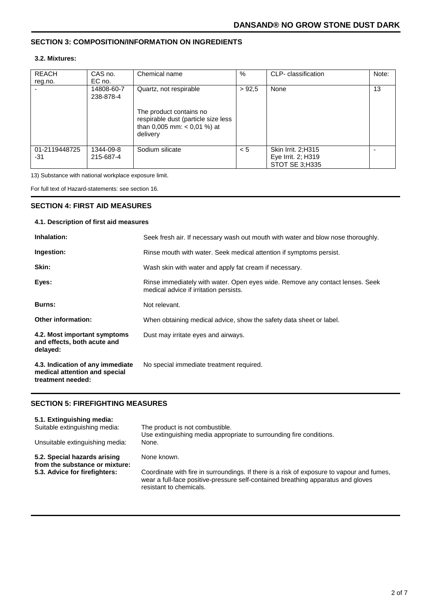# **SECTION 3: COMPOSITION/INFORMATION ON INGREDIENTS**

#### **3.2. Mixtures:**

| <b>REACH</b>         | CAS no.                 | Chemical name                                                                                               | %      | CLP- classification                                         | Note: |
|----------------------|-------------------------|-------------------------------------------------------------------------------------------------------------|--------|-------------------------------------------------------------|-------|
| reg.no.              | EC no.                  |                                                                                                             |        |                                                             |       |
|                      | 14808-60-7<br>238-878-4 | Quartz, not respirable                                                                                      | > 92.5 | None                                                        | 13    |
|                      |                         | The product contains no<br>respirable dust (particle size less<br>than 0,005 mm: $<$ 0,01 %) at<br>delivery |        |                                                             |       |
| 01-2119448725<br>-31 | 1344-09-8<br>215-687-4  | Sodium silicate                                                                                             | < 5    | Skin Irrit. 2; H315<br>Eye Irrit. 2; H319<br>STOT SE 3:H335 |       |

13) Substance with national workplace exposure limit.

For full text of Hazard-statements: see section 16.

## **SECTION 4: FIRST AID MEASURES**

#### **4.1. Description of first aid measures**

| Inhalation:                                                                            | Seek fresh air. If necessary wash out mouth with water and blow nose thoroughly.                                        |
|----------------------------------------------------------------------------------------|-------------------------------------------------------------------------------------------------------------------------|
| Ingestion:                                                                             | Rinse mouth with water. Seek medical attention if symptoms persist.                                                     |
| Skin:                                                                                  | Wash skin with water and apply fat cream if necessary.                                                                  |
| Eyes:                                                                                  | Rinse immediately with water. Open eyes wide. Remove any contact lenses. Seek<br>medical advice if irritation persists. |
| <b>Burns:</b>                                                                          | Not relevant.                                                                                                           |
| <b>Other information:</b>                                                              | When obtaining medical advice, show the safety data sheet or label.                                                     |
| 4.2. Most important symptoms<br>and effects, both acute and<br>delayed:                | Dust may irritate eyes and airways.                                                                                     |
| 4.3. Indication of any immediate<br>medical attention and special<br>treatment needed: | No special immediate treatment required.                                                                                |

## **SECTION 5: FIREFIGHTING MEASURES**

| 5.1. Extinguishing media:                                      |                                                                                                                                                                                                          |
|----------------------------------------------------------------|----------------------------------------------------------------------------------------------------------------------------------------------------------------------------------------------------------|
| Suitable extinguishing media:                                  | The product is not combustible.<br>Use extinguishing media appropriate to surrounding fire conditions.                                                                                                   |
| Unsuitable extinguishing media:                                | None.                                                                                                                                                                                                    |
| 5.2. Special hazards arising<br>from the substance or mixture: | None known.                                                                                                                                                                                              |
| 5.3. Advice for firefighters:                                  | Coordinate with fire in surroundings. If there is a risk of exposure to vapour and fumes,<br>wear a full-face positive-pressure self-contained breathing apparatus and gloves<br>resistant to chemicals. |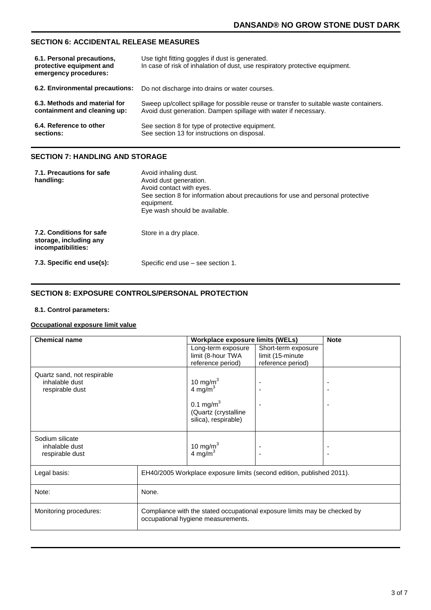## **SECTION 6: ACCIDENTAL RELEASE MEASURES**

| 6.1. Personal precautions,<br>protective equipment and<br>emergency procedures: | Use tight fitting goggles if dust is generated.<br>In case of risk of inhalation of dust, use respiratory protective equipment. |
|---------------------------------------------------------------------------------|---------------------------------------------------------------------------------------------------------------------------------|
| 6.2. Environmental precautions:                                                 | Do not discharge into drains or water courses.                                                                                  |
| 6.3. Methods and material for                                                   | Sweep up/collect spillage for possible reuse or transfer to suitable waste containers.                                          |
| containment and cleaning up:                                                    | Avoid dust generation. Dampen spillage with water if necessary.                                                                 |
| 6.4. Reference to other                                                         | See section 8 for type of protective equipment.                                                                                 |
| sections:                                                                       | See section 13 for instructions on disposal.                                                                                    |

## **SECTION 7: HANDLING AND STORAGE**

| 7.1. Precautions for safe<br>handling:                                   | Avoid inhaling dust.<br>Avoid dust generation.<br>Avoid contact with eyes.<br>See section 8 for information about precautions for use and personal protective<br>equipment.<br>Eye wash should be available. |
|--------------------------------------------------------------------------|--------------------------------------------------------------------------------------------------------------------------------------------------------------------------------------------------------------|
| 7.2. Conditions for safe<br>storage, including any<br>incompatibilities: | Store in a dry place.                                                                                                                                                                                        |
| 7.3. Specific end use(s):                                                | Specific end use - see section 1.                                                                                                                                                                            |

## **SECTION 8: EXPOSURE CONTROLS/PERSONAL PROTECTION**

#### **8.1. Control parameters:**

## **Occupational exposure limit value**

| <b>Chemical name</b>                                                        |  | <b>Workplace exposure limits (WELs)</b>                                                                                                                                                                                                       |                     | <b>Note</b> |
|-----------------------------------------------------------------------------|--|-----------------------------------------------------------------------------------------------------------------------------------------------------------------------------------------------------------------------------------------------|---------------------|-------------|
|                                                                             |  | Long-term exposure                                                                                                                                                                                                                            | Short-term exposure |             |
|                                                                             |  | limit (8-hour TWA                                                                                                                                                                                                                             | limit (15-minute    |             |
|                                                                             |  | reference period)                                                                                                                                                                                                                             | reference period)   |             |
| Quartz sand, not respirable<br>inhalable dust                               |  | 10 mg/m $3$                                                                                                                                                                                                                                   |                     |             |
| respirable dust                                                             |  | 4 mg/m $3$                                                                                                                                                                                                                                    |                     |             |
|                                                                             |  |                                                                                                                                                                                                                                               |                     |             |
|                                                                             |  | 0.1 mg/m <sup>3</sup>                                                                                                                                                                                                                         |                     |             |
|                                                                             |  | (Quartz (crystalline                                                                                                                                                                                                                          |                     |             |
|                                                                             |  |                                                                                                                                                                                                                                               |                     |             |
|                                                                             |  |                                                                                                                                                                                                                                               |                     |             |
|                                                                             |  |                                                                                                                                                                                                                                               |                     |             |
| inhalable dust                                                              |  |                                                                                                                                                                                                                                               |                     |             |
| respirable dust                                                             |  |                                                                                                                                                                                                                                               | ٠                   |             |
|                                                                             |  |                                                                                                                                                                                                                                               |                     |             |
|                                                                             |  |                                                                                                                                                                                                                                               |                     |             |
|                                                                             |  |                                                                                                                                                                                                                                               |                     |             |
|                                                                             |  |                                                                                                                                                                                                                                               |                     |             |
|                                                                             |  |                                                                                                                                                                                                                                               |                     |             |
|                                                                             |  |                                                                                                                                                                                                                                               |                     |             |
|                                                                             |  |                                                                                                                                                                                                                                               |                     |             |
|                                                                             |  |                                                                                                                                                                                                                                               |                     |             |
|                                                                             |  |                                                                                                                                                                                                                                               |                     |             |
| Sodium silicate<br>Legal basis:<br>Note:<br>None.<br>Monitoring procedures: |  | silica), respirable)<br>10 mg/m $3$<br>4 mg/m $3$<br>EH40/2005 Workplace exposure limits (second edition, published 2011).<br>Compliance with the stated occupational exposure limits may be checked by<br>occupational hygiene measurements. |                     |             |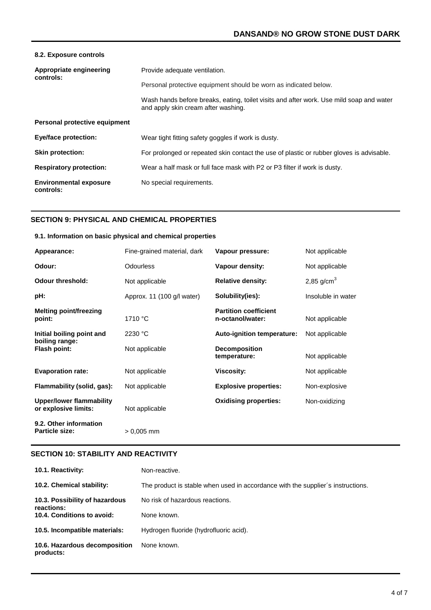| 8.2. Exposure controls                     |                                                                                                                                |
|--------------------------------------------|--------------------------------------------------------------------------------------------------------------------------------|
| Appropriate engineering<br>controls:       | Provide adequate ventilation.                                                                                                  |
|                                            | Personal protective equipment should be worn as indicated below.                                                               |
|                                            | Wash hands before breaks, eating, toilet visits and after work. Use mild soap and water<br>and apply skin cream after washing. |
| Personal protective equipment              |                                                                                                                                |
| <b>Eye/face protection:</b>                | Wear tight fitting safety goggles if work is dusty.                                                                            |
| <b>Skin protection:</b>                    | For prolonged or repeated skin contact the use of plastic or rubber gloves is advisable.                                       |
| <b>Respiratory protection:</b>             | Wear a half mask or full face mask with P2 or P3 filter if work is dusty.                                                      |
| <b>Environmental exposure</b><br>controls: | No special requirements.                                                                                                       |

## **SECTION 9: PHYSICAL AND CHEMICAL PROPERTIES**

## **9.1. Information on basic physical and chemical properties**

| Appearance:                                             | Fine-grained material, dark | Vapour pressure:                                 | Not applicable     |
|---------------------------------------------------------|-----------------------------|--------------------------------------------------|--------------------|
| Odour:                                                  | <b>Odourless</b>            | Vapour density:                                  | Not applicable     |
| <b>Odour threshold:</b>                                 | Not applicable              | <b>Relative density:</b>                         | 2,85 $g/cm3$       |
| pH:                                                     | Approx. 11 (100 g/l water)  | Solubility(ies):                                 | Insoluble in water |
| <b>Melting point/freezing</b><br>point:                 | 1710 °C                     | <b>Partition coefficient</b><br>n-octanol/water: | Not applicable     |
| Initial boiling point and                               | 2230 °C                     | Auto-ignition temperature:                       | Not applicable     |
| boiling range:<br>Flash point:                          | Not applicable              | <b>Decomposition</b><br>temperature:             | Not applicable     |
| <b>Evaporation rate:</b>                                | Not applicable              | <b>Viscosity:</b>                                | Not applicable     |
| Flammability (solid, gas):                              | Not applicable              | <b>Explosive properties:</b>                     | Non-explosive      |
| <b>Upper/lower flammability</b><br>or explosive limits: | Not applicable              | <b>Oxidising properties:</b>                     | Non-oxidizing      |
| 9.2. Other information<br><b>Particle size:</b>         | $> 0.005$ mm                |                                                  |                    |

#### **SECTION 10: STABILITY AND REACTIVITY**

| 10.1. Reactivity:                            | Non-reactive.                                                                   |
|----------------------------------------------|---------------------------------------------------------------------------------|
| 10.2. Chemical stability:                    | The product is stable when used in accordance with the supplier's instructions. |
| 10.3. Possibility of hazardous<br>reactions: | No risk of hazardous reactions.                                                 |
| 10.4. Conditions to avoid:                   | None known.                                                                     |
| 10.5. Incompatible materials:                | Hydrogen fluoride (hydrofluoric acid).                                          |
| 10.6. Hazardous decomposition<br>products:   | None known.                                                                     |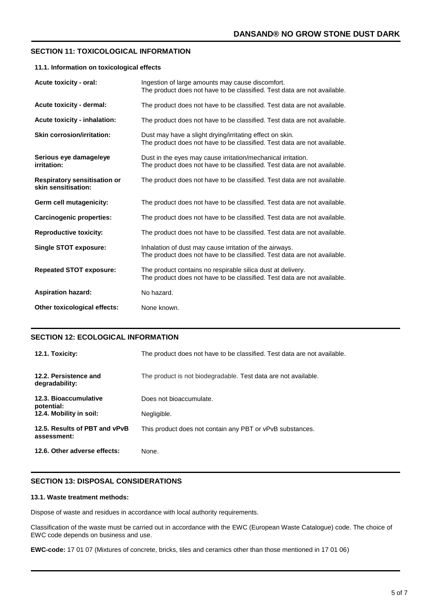## **SECTION 11: TOXICOLOGICAL INFORMATION**

| 11.1. Information on toxicological effects                 |                                                                                                                                          |  |
|------------------------------------------------------------|------------------------------------------------------------------------------------------------------------------------------------------|--|
| Acute toxicity - oral:                                     | Ingestion of large amounts may cause discomfort.<br>The product does not have to be classified. Test data are not available.             |  |
| Acute toxicity - dermal:                                   | The product does not have to be classified. Test data are not available.                                                                 |  |
| Acute toxicity - inhalation:                               | The product does not have to be classified. Test data are not available.                                                                 |  |
| <b>Skin corrosion/irritation:</b>                          | Dust may have a slight drying/irritating effect on skin.<br>The product does not have to be classified. Test data are not available.     |  |
| Serious eye damage/eye<br>irritation:                      | Dust in the eyes may cause irritation/mechanical irritation.<br>The product does not have to be classified. Test data are not available. |  |
| <b>Respiratory sensitisation or</b><br>skin sensitisation: | The product does not have to be classified. Test data are not available.                                                                 |  |
| Germ cell mutagenicity:                                    | The product does not have to be classified. Test data are not available.                                                                 |  |
| <b>Carcinogenic properties:</b>                            | The product does not have to be classified. Test data are not available.                                                                 |  |
| <b>Reproductive toxicity:</b>                              | The product does not have to be classified. Test data are not available.                                                                 |  |
| <b>Single STOT exposure:</b>                               | Inhalation of dust may cause irritation of the airways.<br>The product does not have to be classified. Test data are not available.      |  |
| <b>Repeated STOT exposure:</b>                             | The product contains no respirable silica dust at delivery.<br>The product does not have to be classified. Test data are not available.  |  |
| <b>Aspiration hazard:</b>                                  | No hazard.                                                                                                                               |  |
| Other toxicological effects:                               | None known.                                                                                                                              |  |

## **SECTION 12: ECOLOGICAL INFORMATION**

| 12.1. Toxicity:                              | The product does not have to be classified. Test data are not available. |
|----------------------------------------------|--------------------------------------------------------------------------|
| 12.2. Persistence and<br>degradability:      | The product is not biodegradable. Test data are not available.           |
| 12.3. Bioaccumulative<br>potential:          | Does not bioaccumulate.                                                  |
| 12.4. Mobility in soil:                      | Negligible.                                                              |
| 12.5. Results of PBT and vPvB<br>assessment: | This product does not contain any PBT or vPvB substances.                |
| 12.6. Other adverse effects:                 | None.                                                                    |

# **SECTION 13: DISPOSAL CONSIDERATIONS**

#### **13.1. Waste treatment methods:**

Dispose of waste and residues in accordance with local authority requirements.

Classification of the waste must be carried out in accordance with the EWC (European Waste Catalogue) code. The choice of EWC code depends on business and use.

**EWC-code:** 17 01 07 (Mixtures of concrete, bricks, tiles and ceramics other than those mentioned in 17 01 06)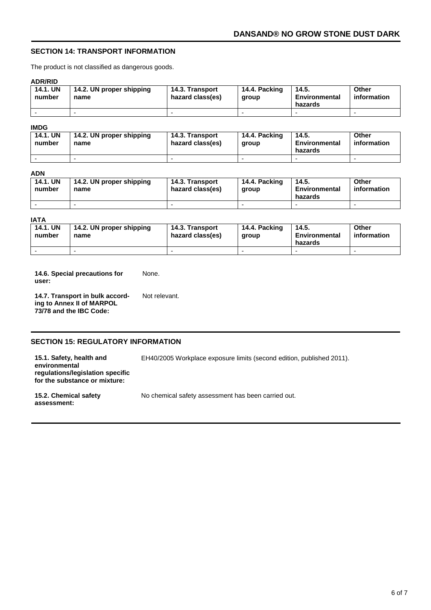# **SECTION 14: TRANSPORT INFORMATION**

The product is not classified as dangerous goods.

#### **ADR/RID**

| <b>14.1. UN</b><br>number | 14.2. UN proper shipping<br>name | 14.3. Transport<br>hazard class(es) | 14.4. Packing<br>group | 14.5.<br>Environmental<br>hazards | Other<br>information |
|---------------------------|----------------------------------|-------------------------------------|------------------------|-----------------------------------|----------------------|
|                           | -                                |                                     |                        |                                   |                      |

## **IMDG**

| 14.1. UN<br>number | 14.2. UN proper shipping<br>name | 14.3. Transport<br>hazard class(es) | 14.4. Packing<br>aroup | 14.5.<br>Environmental<br>hazards | Other<br>information |
|--------------------|----------------------------------|-------------------------------------|------------------------|-----------------------------------|----------------------|
|                    |                                  |                                     |                        |                                   |                      |

#### **ADN**

| <b>14.1. UN</b><br>number | 14.2. UN proper shipping<br>name | 14.3. Transport<br>hazard class(es) | 14.4. Packing<br>group | 14.5.<br>Environmental<br>hazards | <b>Other</b><br>information |
|---------------------------|----------------------------------|-------------------------------------|------------------------|-----------------------------------|-----------------------------|
|                           | -                                |                                     |                        |                                   |                             |

#### **IATA**

| <b>14.1. UN</b><br>number | 14.2. UN proper shipping<br>name | 14.3. Transport<br>hazard class(es) | 14.4. Packing<br>aroup | 14.5.<br>Environmental<br>hazards | Other<br>information |
|---------------------------|----------------------------------|-------------------------------------|------------------------|-----------------------------------|----------------------|
|                           |                                  |                                     |                        |                                   |                      |

**14.6. Special precautions for user:** None.

**14.7. Transport in bulk according to Annex II of MARPOL 73/78 and the IBC Code:** Not relevant.

## **SECTION 15: REGULATORY INFORMATION**

**15.1. Safety, health and environmental regulations/legislation specific for the substance or mixture:**

**15.2. Chemical safety assessment:**

No chemical safety assessment has been carried out.

EH40/2005 Workplace exposure limits (second edition, published 2011).